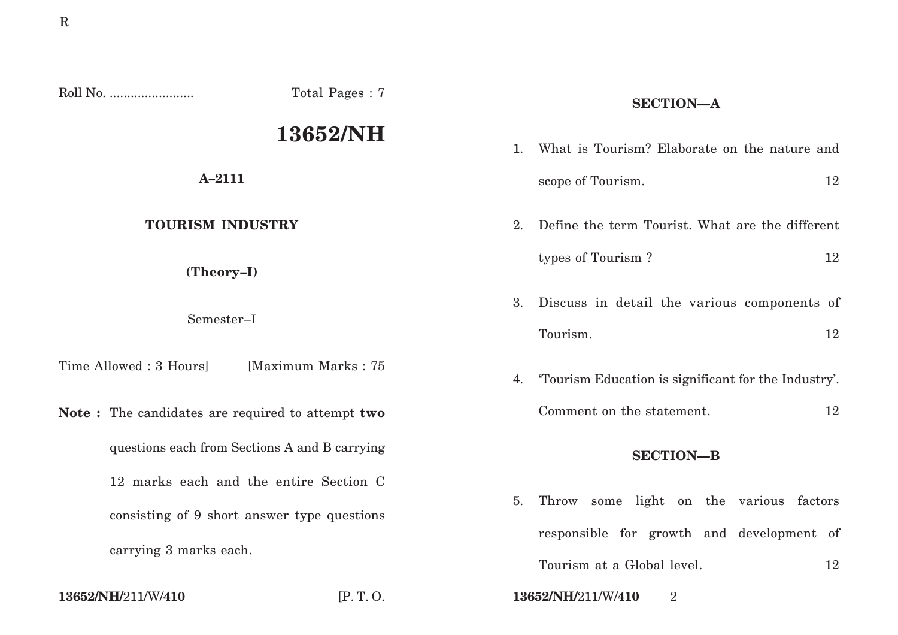|                                                                       | Total Pages: 7                         |                | <b>SECTION-A</b>                                                                     |    |
|-----------------------------------------------------------------------|----------------------------------------|----------------|--------------------------------------------------------------------------------------|----|
| 13652/NH                                                              |                                        | $\mathbf{1}$ . | What is Tourism? Elaborate on the nature and                                         |    |
| $A - 2111$                                                            |                                        |                | scope of Tourism.                                                                    | 12 |
| <b>TOURISM INDUSTRY</b>                                               |                                        | 2.             | Define the term Tourist. What are the different                                      |    |
| (Theory-I)                                                            |                                        |                | types of Tourism?                                                                    | 12 |
| Semester-I                                                            |                                        | 3.             | Discuss in detail the various components of                                          |    |
| Time Allowed : 3 Hours]                                               | [Maximum Marks: 75                     | 4.             | Tourism.<br>Tourism Education is significant for the Industry'.                      | 12 |
| Note: The candidates are required to attempt two                      |                                        |                | Comment on the statement.                                                            | 12 |
| questions each from Sections A and B carrying                         |                                        |                | <b>SECTION-B</b>                                                                     |    |
|                                                                       | 12 marks each and the entire Section C |                |                                                                                      |    |
| consisting of 9 short answer type questions<br>carrying 3 marks each. |                                        | 5.             | Throw some light on the various factors<br>responsible for growth and development of |    |
|                                                                       |                                        |                | Tourism at a Global level.                                                           |    |
|                                                                       |                                        |                |                                                                                      | 12 |

**13652/NH/**211/W/**410** [P. T. O. **13652/NH/**211/W/**410** 2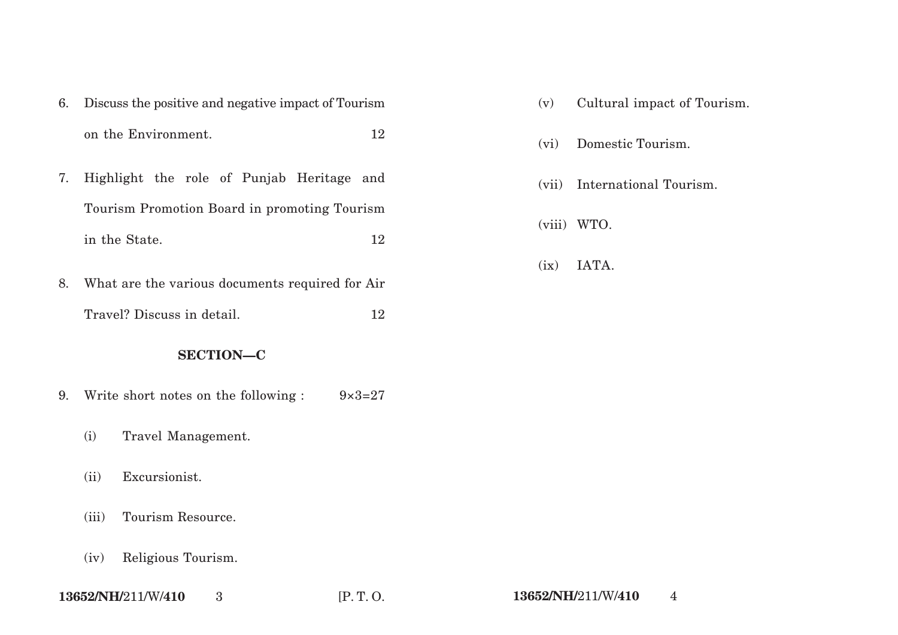- 6. Discuss the positive and negative impact of Tourism on the Environment. 12
- 7. Highlight the role of Punjab Heritage and Tourism Promotion Board in promoting Tourism in the State. 12
- 8. What are the various documents required for Air Travel? Discuss in detail. 12

## **SECTION—C**

- 9. Write short notes on the following :  $9 \times 3 = 27$ 
	- (i) Travel Management.
	- (ii) Excursionist.
	- (iii) Tourism Resource.
	- (iv) Religious Tourism.
- (v) Cultural impact of Tourism.
- (vi) Domestic Tourism.
- (vii) International Tourism.
- (viii) WTO.
- (ix) IATA.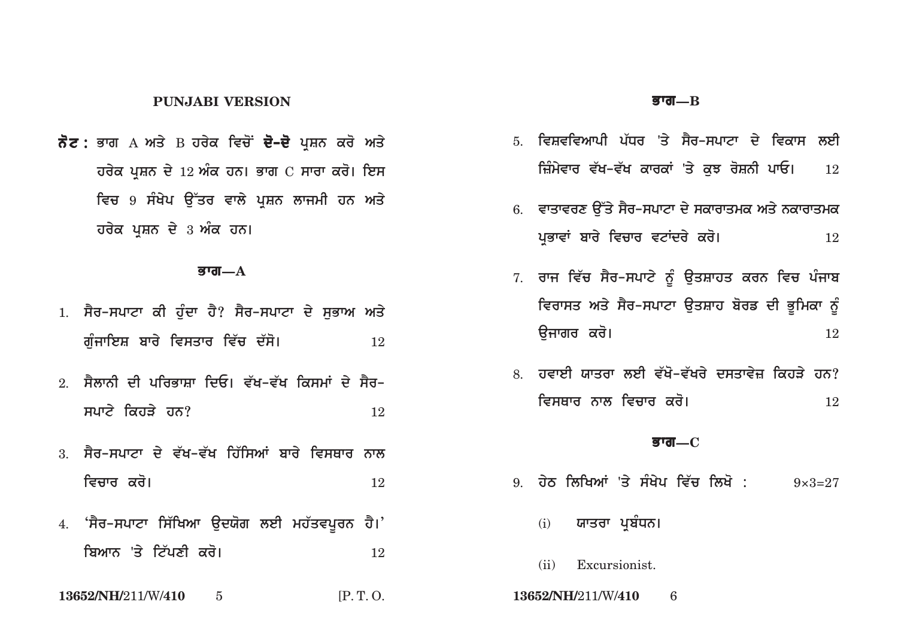### **PUNJABI VERSION**

**ਨੋਟ :** ਭਾਗ A ਅਤੇ B ਹਰੇਕ ਵਿਚੋਂ **ਦੋ–ਦੋ** ਪੁਸ਼ਨ ਕਰੋ ਅਤੇ **ਹਰੇਕ ਪਸ਼ਨ ਦੇ 12 ਅੰਕ ਹਨ। ਭਾਗ**  $C$  **ਸਾਰਾ ਕਰੋ। ਇਸ ਵਿਚ 9 ਸੰਖੇਪ ਉੱਤਰ ਵਾਲੇ ਪ੍ਰਸ਼ਨ ਲਾਜਮੀ ਹਨ ਅਤੇ ਹਰੇਕ ਪੁਸ਼ਨ ਦੇ 3 ਅੰਕ ਹਨ।** 

#### <u> $\overline{\mathbf{g}}$ ग्त—A</u>

- 1. ਸੈਰ-ਸਪਾਟਾ ਕੀ ਹੰਦਾ ਹੈ? ਸੈਰ-ਸਪਾਟਾ ਦੇ ਸਭਾਅ ਅਤੇ **guMjwieS bwry ivsqwr iv`c d`so[** <sup>12</sup>
- 2. ਸੈਲਾਨੀ ਦੀ ਪਰਿਕਾਸਾ ਦਿਓ। ਵੱਖ–ਵੱਖ ਕਿਸਮਾਂ ਦੇ ਸੈਰ– **spatial in the spatial spatial spatial in the spatial spatial spatial in the spatial spatial in the spatial spatial in the spatial in the spatial in the spatial in the spatial in the spatial in the spatial in the spatial**
- 3. ਸੈਰ-ਸਪਾਟਾ ਦੇ ਵੱਖ-ਵੱਖ ਹਿੱਸਿਆਂ ਬਾਰੇ ਵਿਸਥਾਰ ਨਾਲ **ivcwr kro[** <sup>12</sup>
- 4. 'ਸੈਰ-ਸਪਾਟਾ ਸਿੱਖਿਆ ਉਦਯੋਗ ਲਈ ਮਹੱਤਵਪੂਰਨ ਹੈ।' **ibAwn 'qy it`pxI kro[** <sup>12</sup>

**13652/NH/**211/W/**410** 5 [P. T. O. **13652/NH/**211/W/**410** 6

#### **Bwg—B**

- 5. ਵਿਸ਼ਵਵਿਆਪੀ ਪੱਧਰ 'ਤੇ ਸੈਰ-ਸਪਾਟਾ ਦੇ ਵਿਕਾਸ ਲਈ ਜ਼ਿੰਮੇਵਾਰ ਵੱਖ–ਵੱਖ ਕਾਰਕਾਂ 'ਤੇ ਕਝ ਰੋਸ਼ਨੀ ਪਾਓ। 12
- 6. ਵਾਤਾਵਰਣ ਉੱਤੇ ਸੈਰ-ਸਪਾਟਾ ਦੇ ਸਕਾਰਾਤਮਕ ਅਤੇ ਨਕਾਰਾਤਮਕ **pRBwvW bwry ivcwr vtWdry kro[** <sup>12</sup>
- 7. ਰਾਜ ਵਿੱਚ ਸੈਰ-ਸਪਾਟੇ ਨੂੰ ਉਤਸ਼ਾਹਤ ਕਰਨ ਵਿਚ ਪੰਜਾ**ਬ** <u>ਵਿਰਾਸਤ ਅਤੇ ਸੈਰ-ਸਪਾਟਾ ਉਤਸ਼ਾਹ ਬੋਰਡ ਦੀ ਭੂਮਿਕਾ ਨੂੰ</u> **aujwgr kro[** <sup>12</sup>
- 8. ਹਵਾਈ ਯਾਤਰਾ ਲਈ ਵੱਖੋ–ਵੱਖਰੇ ਦਸਤਾਵੇਜ਼ ਕਿਹੜੇ ਹਨ? **ivsQwr nwl ivcwr kro[** <sup>12</sup>

#### **Bwg—C**

- 9. ਹੇਠ ਲਿਖਿਆਂ 'ਤੇ ਸੰਖੇਪ ਵਿੱਚ ਲਿਖੋ : 9×3=27
	- (<u>i</u>) ਯਾਤਰਾ ਪਬੰਧਨ।
	- (ii) Excursionist.
-